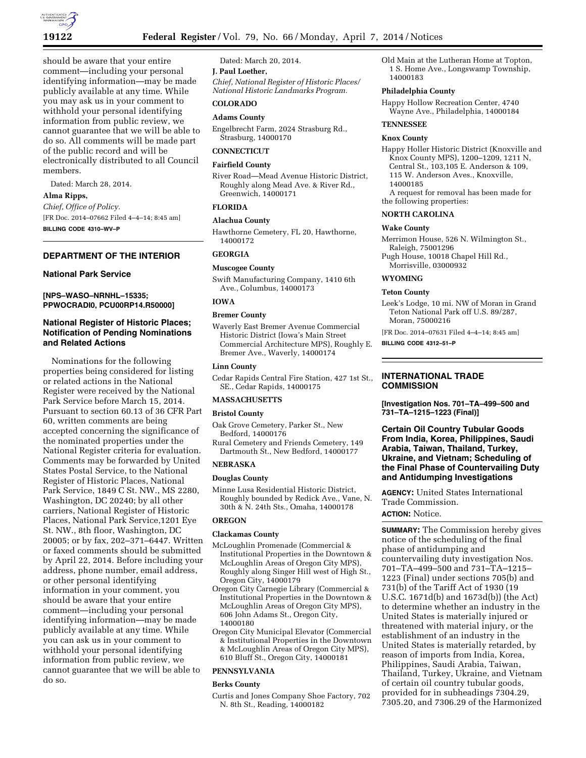

should be aware that your entire comment—including your personal identifying information—may be made publicly available at any time. While you may ask us in your comment to withhold your personal identifying information from public review, we cannot guarantee that we will be able to do so. All comments will be made part of the public record and will be electronically distributed to all Council members.

Dated: March 28, 2014.

### **Alma Ripps,**

*Chief, Office of Policy.*  [FR Doc. 2014–07662 Filed 4–4–14; 8:45 am] **BILLING CODE 4310–WV–P** 

## **DEPARTMENT OF THE INTERIOR**

### **National Park Service**

### **[NPS–WASO–NRNHL–15335; PPWOCRADI0, PCU00RP14.R50000]**

## **National Register of Historic Places; Notification of Pending Nominations and Related Actions**

Nominations for the following properties being considered for listing or related actions in the National Register were received by the National Park Service before March 15, 2014. Pursuant to section 60.13 of 36 CFR Part 60, written comments are being accepted concerning the significance of the nominated properties under the National Register criteria for evaluation. Comments may be forwarded by United States Postal Service, to the National Register of Historic Places, National Park Service, 1849 C St. NW., MS 2280, Washington, DC 20240; by all other carriers, National Register of Historic Places, National Park Service,1201 Eye St. NW., 8th floor, Washington, DC 20005; or by fax, 202–371–6447. Written or faxed comments should be submitted by April 22, 2014. Before including your address, phone number, email address, or other personal identifying information in your comment, you should be aware that your entire comment—including your personal identifying information—may be made publicly available at any time. While you can ask us in your comment to withhold your personal identifying information from public review, we cannot guarantee that we will be able to do so.

Dated: March 20, 2014.

## **J. Paul Loether,**

*Chief, National Register of Historic Places/ National Historic Landmarks Program.* 

# **COLORADO**

## **Adams County**

Engelbrecht Farm, 2024 Strasburg Rd., Strasburg, 14000170

## **CONNECTICUT**

### **Fairfield County**

River Road—Mead Avenue Historic District, Roughly along Mead Ave. & River Rd., Greenwich, 14000171

### **FLORIDA**

### **Alachua County**

Hawthorne Cemetery, FL 20, Hawthorne, 14000172

## **GEORGIA**

#### **Muscogee County**

Swift Manufacturing Company, 1410 6th Ave., Columbus, 14000173

## **IOWA**

## **Bremer County**

Waverly East Bremer Avenue Commercial Historic District (Iowa's Main Street Commercial Architecture MPS), Roughly E. Bremer Ave., Waverly, 14000174

### **Linn County**

Cedar Rapids Central Fire Station, 427 1st St., SE., Cedar Rapids, 14000175

### **MASSACHUSETTS**

## **Bristol County**

- Oak Grove Cemetery, Parker St., New Bedford, 14000176
- Rural Cemetery and Friends Cemetery, 149 Dartmouth St., New Bedford, 14000177

## **NEBRASKA**

### **Douglas County**

Minne Lusa Residential Historic District, Roughly bounded by Redick Ave., Vane, N. 30th & N. 24th Sts., Omaha, 14000178

# **OREGON**

### **Clackamas County**

- McLoughlin Promenade (Commercial & Institutional Properties in the Downtown & McLoughlin Areas of Oregon City MPS), Roughly along Singer Hill west of High St., Oregon City, 14000179
- Oregon City Carnegie Library (Commercial & Institutional Properties in the Downtown & McLoughlin Areas of Oregon City MPS), 606 John Adams St., Oregon City, 14000180
- Oregon City Municipal Elevator (Commercial & Institutional Properties in the Downtown & McLoughlin Areas of Oregon City MPS), 610 Bluff St., Oregon City, 14000181

## **PENNSYLVANIA**

#### **Berks County**

Curtis and Jones Company Shoe Factory, 702 N. 8th St., Reading, 14000182

Old Main at the Lutheran Home at Topton, 1 S. Home Ave., Longswamp Township, 14000183

## **Philadelphia County**

Happy Hollow Recreation Center, 4740 Wayne Ave., Philadelphia, 14000184

# **TENNESSEE**

### **Knox County**

- Happy Holler Historic District (Knoxville and Knox County MPS), 1200–1209, 1211 N, Central St., 103,105 E. Anderson & 109, 115 W. Anderson Aves., Knoxville, 14000185 A request for removal has been made for
- the following properties:

## **NORTH CAROLINA**

## **Wake County**

Merrimon House, 526 N. Wilmington St., Raleigh, 75001296

Pugh House, 10018 Chapel Hill Rd., Morrisville, 03000932

#### **WYOMING**

#### **Teton County**

Leek's Lodge, 10 mi. NW of Moran in Grand Teton National Park off U.S. 89/287, Moran, 75000216

[FR Doc. 2014–07631 Filed 4–4–14; 8:45 am] **BILLING CODE 4312–51–P** 

## **INTERNATIONAL TRADE COMMISSION**

**[Investigation Nos. 701–TA–499–500 and 731–TA–1215–1223 (Final)]** 

## **Certain Oil Country Tubular Goods From India, Korea, Philippines, Saudi Arabia, Taiwan, Thailand, Turkey, Ukraine, and Vietnam; Scheduling of the Final Phase of Countervailing Duty and Antidumping Investigations**

**AGENCY:** United States International Trade Commission.

# **ACTION:** Notice.

**SUMMARY:** The Commission hereby gives notice of the scheduling of the final phase of antidumping and countervailing duty investigation Nos. 701–TA–499–500 and 731–TA–1215– 1223 (Final) under sections 705(b) and 731(b) of the Tariff Act of 1930 (19 U.S.C. 1671d(b) and 1673d(b)) (the Act) to determine whether an industry in the United States is materially injured or threatened with material injury, or the establishment of an industry in the United States is materially retarded, by reason of imports from India, Korea, Philippines, Saudi Arabia, Taiwan, Thailand, Turkey, Ukraine, and Vietnam of certain oil country tubular goods, provided for in subheadings 7304.29, 7305.20, and 7306.29 of the Harmonized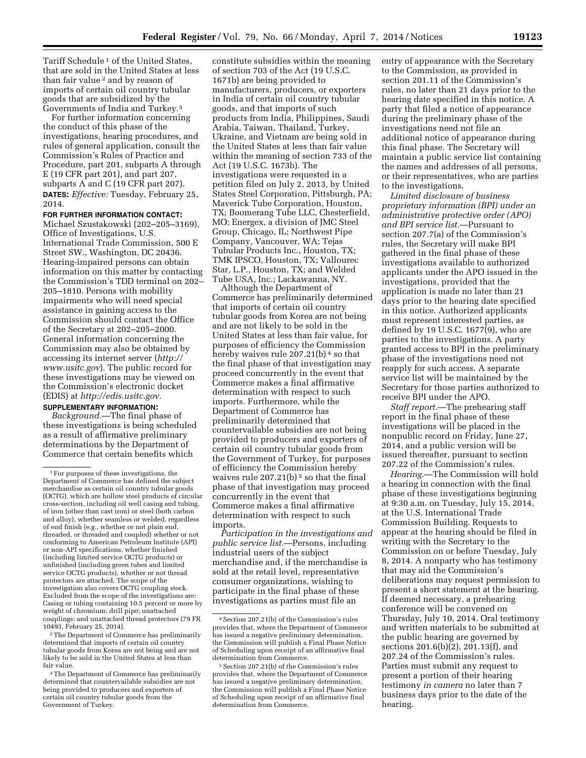Tariff Schedule<sup>1</sup> of the United States, that are sold in the United States at less than fair value 2 and by reason of imports of certain oil country tubular goods that are subsidized by the Governments of India and Turkey.3

For further information concerning the conduct of this phase of the investigations, hearing procedures, and rules of general application, consult the Commission's Rules of Practice and Procedure, part 201, subparts A through E (19 CFR part 201), and part 207, subparts A and C (19 CFR part 207). **DATES:** *Effective:* Tuesday, February 25, 2014.

### **FOR FURTHER INFORMATION CONTACT:**

Michael Szustakowski (202–205–3169), Office of Investigations, U.S. International Trade Commission, 500 E Street SW., Washington, DC 20436. Hearing-impaired persons can obtain information on this matter by contacting the Commission's TDD terminal on 202– 205–1810. Persons with mobility impairments who will need special assistance in gaining access to the Commission should contact the Office of the Secretary at 202–205–2000. General information concerning the Commission may also be obtained by accessing its internet server (*[http://](http://www.usitc.gov) [www.usitc.gov](http://www.usitc.gov)*). The public record for these investigations may be viewed on the Commission's electronic docket (EDIS) at *[http://edis.usitc.gov.](http://edis.usitc.gov)* 

## **SUPPLEMENTARY INFORMATION:**

*Background.*—The final phase of these investigations is being scheduled as a result of affirmative preliminary determinations by the Department of Commerce that certain benefits which

2The Department of Commerce has preliminarily determined that imports of certain oil country tubular goods from Korea are not being and are not likely to be sold in the United States at less than fair value.

constitute subsidies within the meaning of section 703 of the Act (19 U.S.C. 1671b) are being provided to manufacturers, producers, or exporters in India of certain oil country tubular goods, and that imports of such products from India, Philippines, Saudi Arabia, Taiwan, Thailand, Turkey, Ukraine, and Vietnam are being sold in the United States at less than fair value within the meaning of section 733 of the Act (19 U.S.C. 1673b). The investigations were requested in a petition filed on July 2, 2013, by United States Steel Corporation, Pittsburgh, PA; Maverick Tube Corporation, Houston, TX; Boomerang Tube LLC, Chesterfield, MO; Energex, a division of JMC Steel Group, Chicago, IL; Northwest Pipe Company, Vancouver, WA; Tejas Tubular Products Inc., Houston, TX; TMK IPSCO, Houston, TX; Vallourec Star, L.P., Houston, TX; and Welded Tube USA, Inc.; Lackawanna, NY.

Although the Department of Commerce has preliminarily determined that imports of certain oil country tubular goods from Korea are not being and are not likely to be sold in the United States at less than fair value, for purposes of efficiency the Commission hereby waives rule 207.21(b)<sup>4</sup> so that the final phase of that investigation may proceed concurrently in the event that Commerce makes a final affirmative determination with respect to such imports. Furthermore, while the Department of Commerce has preliminarily determined that countervailable subsidies are not being provided to producers and exporters of certain oil country tubular goods from the Government of Turkey, for purposes of efficiency the Commission hereby waives rule  $207.21(b)$ <sup>5</sup> so that the final phase of that investigation may proceed concurrently in the event that Commerce makes a final affirmative determination with respect to such imports.

*Participation in the investigations and public service list.*—Persons, including industrial users of the subject merchandise and, if the merchandise is sold at the retail level, representative consumer organizations, wishing to participate in the final phase of these investigations as parties must file an

entry of appearance with the Secretary to the Commission, as provided in section 201.11 of the Commission's rules, no later than 21 days prior to the hearing date specified in this notice. A party that filed a notice of appearance during the preliminary phase of the investigations need not file an additional notice of appearance during this final phase. The Secretary will maintain a public service list containing the names and addresses of all persons, or their representatives, who are parties to the investigations.

*Limited disclosure of business proprietary information (BPI) under an administrative protective order (APO) and BPI service list.*—Pursuant to section 207.7(a) of the Commission's rules, the Secretary will make BPI gathered in the final phase of these investigations available to authorized applicants under the APO issued in the investigations, provided that the application is made no later than 21 days prior to the hearing date specified in this notice. Authorized applicants must represent interested parties, as defined by 19 U.S.C. 1677(9), who are parties to the investigations. A party granted access to BPI in the preliminary phase of the investigations need not reapply for such access. A separate service list will be maintained by the Secretary for those parties authorized to receive BPI under the APO.

*Staff report.*—The prehearing staff report in the final phase of these investigations will be placed in the nonpublic record on Friday, June 27, 2014, and a public version will be issued thereafter, pursuant to section 207.22 of the Commission's rules.

*Hearing.*—The Commission will hold a hearing in connection with the final phase of these investigations beginning at 9:30 a.m. on Tuesday, July 15, 2014, at the U.S. International Trade Commission Building. Requests to appear at the hearing should be filed in writing with the Secretary to the Commission on or before Tuesday, July 8, 2014. A nonparty who has testimony that may aid the Commission's deliberations may request permission to present a short statement at the hearing. If deemed necessary, a prehearing conference will be convened on Thursday, July 10, 2014. Oral testimony and written materials to be submitted at the public hearing are governed by sections 201.6(b)(2), 201.13(f), and 207.24 of the Commission's rules. Parties must submit any request to present a portion of their hearing testimony *in camera* no later than 7 business days prior to the date of the hearing.

<sup>1</sup>For purposes of these investigations, the Department of Commerce has defined the subject merchandise as certain oil country tubular goods (OCTG), which are hollow steel products of circular cross-section, including oil well casing and tubing, of iron (other than cast iron) or steel (both carbon and alloy), whether seamless or welded, regardless of end finish (e.g., whether or not plain end, threaded, or threaded and coupled) whether or not conforming to American Petroleum Institute (API) or non-API specifications, whether finished (including limited service OCTG products) or unfinished (including green tubes and limited service OCTG products), whether or not thread protectors are attached. The scope of the investigation also covers OCTG coupling stock. Excluded from the scope of the investigations are: Casing or tubing containing 10.5 percent or more by weight of chromium; drill pipe; unattached couplings; and unattached thread protectors (79 FR 10493, February 25, 2014).

<sup>3</sup>The Department of Commerce has preliminarily determined that countervailable subsidies are not being provided to producers and exporters of certain oil country tubular goods from the Government of Turkey.

<sup>4</sup>Section 207.21(b) of the Commission's rules provides that, where the Department of Commerce has issued a negative preliminary determination, the Commission will publish a Final Phase Notice of Scheduling upon receipt of an affirmative final determination from Commerce.

<sup>5</sup>Section 207.21(b) of the Commission's rules provides that, where the Department of Commerce has issued a negative preliminary determination, the Commission will publish a Final Phase Notice of Scheduling upon receipt of an affirmative final determination from Commerce.